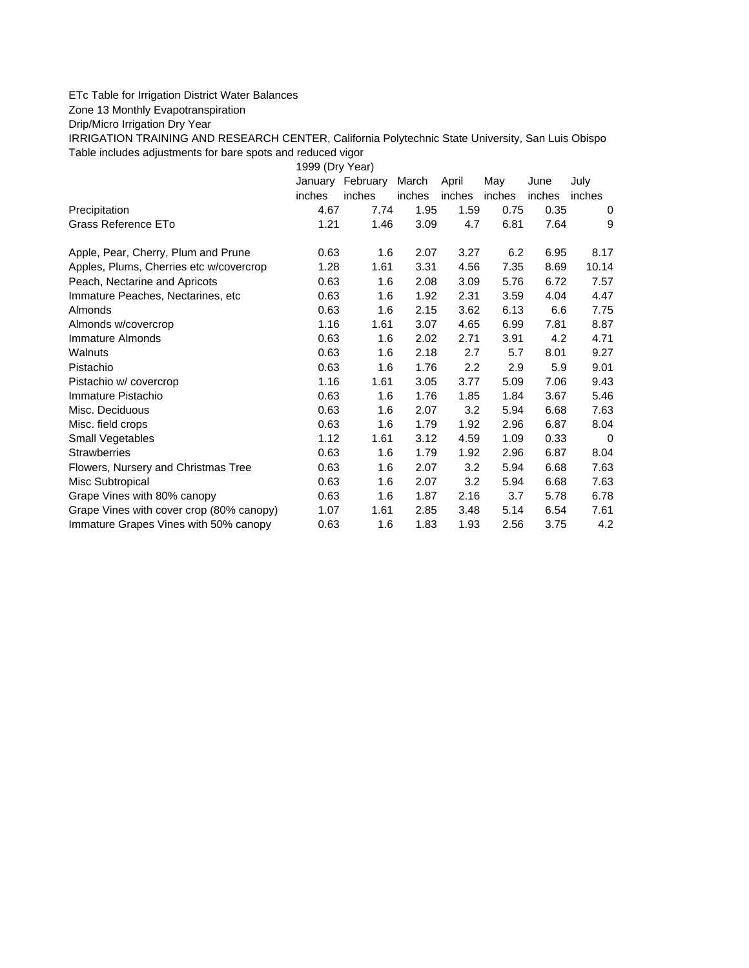## ETc Table for Irrigation District Water Balances

Zone 13 Monthly Evapotranspiration

Drip/Micro Irrigation Dry Year

IRRIGATION TRAINING AND RESEARCH CENTER, California Polytechnic State University, San Luis Obispo Table includes adjustments for bare spots and reduced vigor

1999 (Dry Year)

|                                          | January | February | March  | April  | May    | June   | July   |
|------------------------------------------|---------|----------|--------|--------|--------|--------|--------|
|                                          | inches  | inches   | inches | inches | inches | inches | inches |
| Precipitation                            | 4.67    | 7.74     | 1.95   | 1.59   | 0.75   | 0.35   | 0      |
| Grass Reference ETo                      | 1.21    | 1.46     | 3.09   | 4.7    | 6.81   | 7.64   | 9      |
| Apple, Pear, Cherry, Plum and Prune      | 0.63    | 1.6      | 2.07   | 3.27   | 6.2    | 6.95   | 8.17   |
| Apples, Plums, Cherries etc w/covercrop  | 1.28    | 1.61     | 3.31   | 4.56   | 7.35   | 8.69   | 10.14  |
| Peach, Nectarine and Apricots            | 0.63    | 1.6      | 2.08   | 3.09   | 5.76   | 6.72   | 7.57   |
| Immature Peaches, Nectarines, etc.       | 0.63    | 1.6      | 1.92   | 2.31   | 3.59   | 4.04   | 4.47   |
| Almonds                                  | 0.63    | 1.6      | 2.15   | 3.62   | 6.13   | 6.6    | 7.75   |
| Almonds w/covercrop                      | 1.16    | 1.61     | 3.07   | 4.65   | 6.99   | 7.81   | 8.87   |
| Immature Almonds                         | 0.63    | 1.6      | 2.02   | 2.71   | 3.91   | 4.2    | 4.71   |
| Walnuts                                  | 0.63    | 1.6      | 2.18   | 2.7    | 5.7    | 8.01   | 9.27   |
| Pistachio                                | 0.63    | 1.6      | 1.76   | 2.2    | 2.9    | 5.9    | 9.01   |
| Pistachio w/ covercrop                   | 1.16    | 1.61     | 3.05   | 3.77   | 5.09   | 7.06   | 9.43   |
| Immature Pistachio                       | 0.63    | 1.6      | 1.76   | 1.85   | 1.84   | 3.67   | 5.46   |
| Misc. Deciduous                          | 0.63    | 1.6      | 2.07   | 3.2    | 5.94   | 6.68   | 7.63   |
| Misc. field crops                        | 0.63    | 1.6      | 1.79   | 1.92   | 2.96   | 6.87   | 8.04   |
| Small Vegetables                         | 1.12    | 1.61     | 3.12   | 4.59   | 1.09   | 0.33   | 0      |
| <b>Strawberries</b>                      | 0.63    | 1.6      | 1.79   | 1.92   | 2.96   | 6.87   | 8.04   |
| Flowers, Nursery and Christmas Tree      | 0.63    | 1.6      | 2.07   | 3.2    | 5.94   | 6.68   | 7.63   |
| Misc Subtropical                         | 0.63    | 1.6      | 2.07   | 3.2    | 5.94   | 6.68   | 7.63   |
| Grape Vines with 80% canopy              | 0.63    | 1.6      | 1.87   | 2.16   | 3.7    | 5.78   | 6.78   |
| Grape Vines with cover crop (80% canopy) | 1.07    | 1.61     | 2.85   | 3.48   | 5.14   | 6.54   | 7.61   |
| Immature Grapes Vines with 50% canopy    | 0.63    | 1.6      | 1.83   | 1.93   | 2.56   | 3.75   | 4.2    |